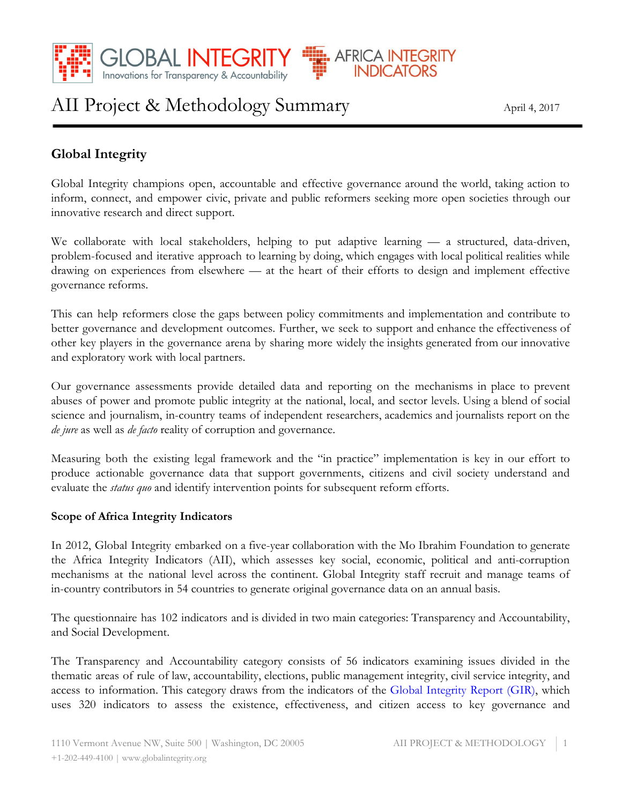

# AII Project & Methodology Summary April 4, 2017

# **Global Integrity**

Global Integrity champions open, accountable and effective governance around the world, taking action to inform, connect, and empower civic, private and public reformers seeking more open societies through our innovative research and direct support.

**AFRICA IN** 

**INDIC** 

We collaborate with local stakeholders, helping to put adaptive learning — a structured, data-driven, problem-focused and iterative approach to learning by doing, which engages with local political realities while drawing on experiences from elsewhere — at the heart of their efforts to design and implement effective governance reforms.

This can help reformers close the gaps between policy commitments and implementation and contribute to better governance and development outcomes. Further, we seek to support and enhance the effectiveness of other key players in the governance arena by sharing more widely the insights generated from our innovative and exploratory work with local partners.

Our governance assessments provide detailed data and reporting on the mechanisms in place to prevent abuses of power and promote public integrity at the national, local, and sector levels. Using a blend of social science and journalism, in-country teams of independent researchers, academics and journalists report on the *de jure* as well as *de facto* reality of corruption and governance.

Measuring both the existing legal framework and the "in practice" implementation is key in our effort to produce actionable governance data that support governments, citizens and civil society understand and evaluate the *status quo* and identify intervention points for subsequent reform efforts.

## **Scope of Africa Integrity Indicators**

In 2012, Global Integrity embarked on a five-year collaboration with the Mo Ibrahim Foundation to generate the Africa Integrity Indicators (AII), which assesses key social, economic, political and anti-corruption mechanisms at the national level across the continent. Global Integrity staff recruit and manage teams of in-country contributors in 54 countries to generate original governance data on an annual basis.

The questionnaire has 102 indicators and is divided in two main categories: Transparency and Accountability, and Social Development.

The Transparency and Accountability category consists of 56 indicators examining issues divided in the thematic areas of rule of law, accountability, elections, public management integrity, civil service integrity, and access to information. This category draws from the indicators of the Global [Integrity](https://www.globalintegrity.org/global_year/2011/) Report (GIR), which uses 320 indicators to assess the existence, effectiveness, and citizen access to key governance and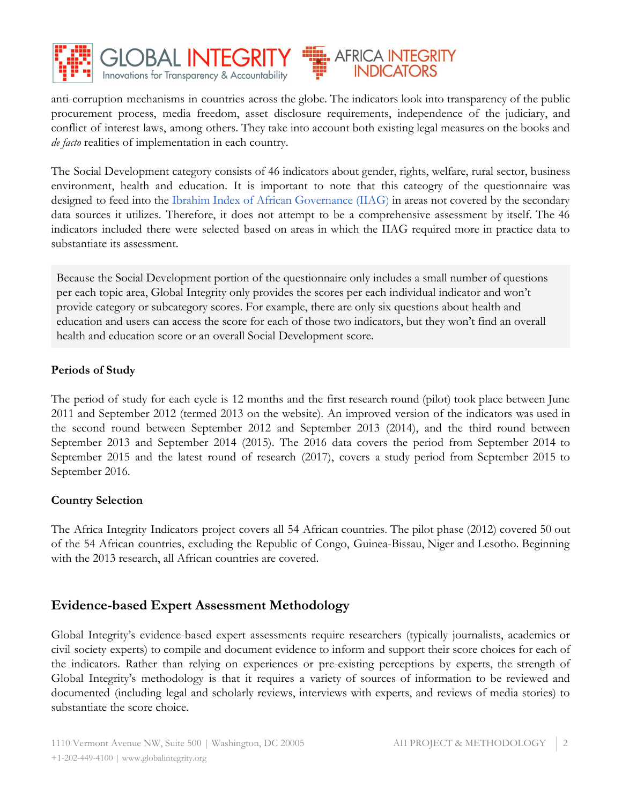



anti-corruption mechanisms in countries across the globe. The indicators look into transparency of the public procurement process, media freedom, asset disclosure requirements, independence of the judiciary, and conflict of interest laws, among others. They take into account both existing legal measures on the books and *de facto* realities of implementation in each country.

The Social Development category consists of 46 indicators about gender, rights, welfare, rural sector, business environment, health and education. It is important to note that this cateogry of the questionnaire was designed to feed into the Ibrahim Index of African [Governance](http://www.moibrahimfoundation.org/iiag/) (IIAG) in areas not covered by the secondary data sources it utilizes. Therefore, it does not attempt to be a comprehensive assessment by itself. The 46 indicators included there were selected based on areas in which the IIAG required more in practice data to substantiate its assessment.

Because the Social Development portion of the questionnaire only includes a small number of questions per each topic area, Global Integrity only provides the scores per each individual indicator and won't provide category or subcategory scores. For example, there are only six questions about health and education and users can access the score for each of those two indicators, but they won't find an overall health and education score or an overall Social Development score.

#### **Periods of Study**

The period of study for each cycle is 12 months and the first research round (pilot) took place between June 2011 and September 2012 (termed 2013 on the website). An improved version of the indicators was used in the second round between September 2012 and September 2013 (2014), and the third round between September 2013 and September 2014 (2015). The 2016 data covers the period from September 2014 to September 2015 and the latest round of research (2017), covers a study period from September 2015 to September 2016.

## **Country Selection**

The Africa Integrity Indicators project covers all 54 African countries. The pilot phase (2012) covered 50 out of the 54 African countries, excluding the Republic of Congo, Guinea-Bissau, Niger and Lesotho. Beginning with the 2013 research, all African countries are covered.

# **Evidence-based Expert Assessment Methodology**

Global Integrity's evidence-based expert assessments require researchers (typically journalists, academics or civil society experts) to compile and document evidence to inform and support their score choices for each of the indicators. Rather than relying on experiences or pre-existing perceptions by experts, the strength of Global Integrity's methodology is that it requires a variety of sources of information to be reviewed and documented (including legal and scholarly reviews, interviews with experts, and reviews of media stories) to substantiate the score choice.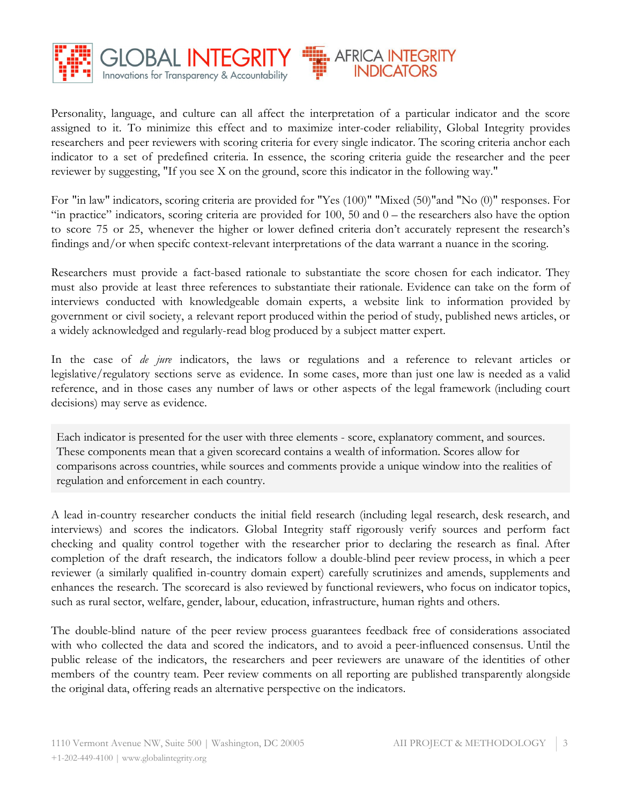

Personality, language, and culture can all affect the interpretation of a particular indicator and the score assigned to it. To minimize this effect and to maximize inter-coder reliability, Global Integrity provides researchers and peer reviewers with scoring criteria for every single indicator. The scoring criteria anchor each indicator to a set of predefined criteria. In essence, the scoring criteria guide the researcher and the peer reviewer by suggesting, "If you see X on the ground, score this indicator in the following way."

For "in law" indicators, scoring criteria are provided for "Yes (100)" "Mixed (50)"and "No (0)" responses. For "in practice" indicators, scoring criteria are provided for 100, 50 and 0 – the researchers also have the option to score 75 or 25, whenever the higher or lower defined criteria don't accurately represent the research's findings and/or when specifc context-relevant interpretations of the data warrant a nuance in the scoring.

Researchers must provide a fact-based rationale to substantiate the score chosen for each indicator. They must also provide at least three references to substantiate their rationale. Evidence can take on the form of interviews conducted with knowledgeable domain experts, a website link to information provided by government or civil society, a relevant report produced within the period of study, published news articles, or a widely acknowledged and regularly-read blog produced by a subject matter expert.

In the case of *de jure* indicators, the laws or regulations and a reference to relevant articles or legislative/regulatory sections serve as evidence. In some cases, more than just one law is needed as a valid reference, and in those cases any number of laws or other aspects of the legal framework (including court decisions) may serve as evidence.

Each indicator is presented for the user with three elements - score, explanatory comment, and sources. These components mean that a given scorecard contains a wealth of information. Scores allow for comparisons across countries, while sources and comments provide a unique window into the realities of regulation and enforcement in each country.

A lead in-country researcher conducts the initial field research (including legal research, desk research, and interviews) and scores the indicators. Global Integrity staff rigorously verify sources and perform fact checking and quality control together with the researcher prior to declaring the research as final. After completion of the draft research, the indicators follow a double-blind peer review process, in which a peer reviewer (a similarly qualified in-country domain expert) carefully scrutinizes and amends, supplements and enhances the research. The scorecard is also reviewed by functional reviewers, who focus on indicator topics, such as rural sector, welfare, gender, labour, education, infrastructure, human rights and others.

The double-blind nature of the peer review process guarantees feedback free of considerations associated with who collected the data and scored the indicators, and to avoid a peer-influenced consensus. Until the public release of the indicators, the researchers and peer reviewers are unaware of the identities of other members of the country team. Peer review comments on all reporting are published transparently alongside the original data, offering reads an alternative perspective on the indicators.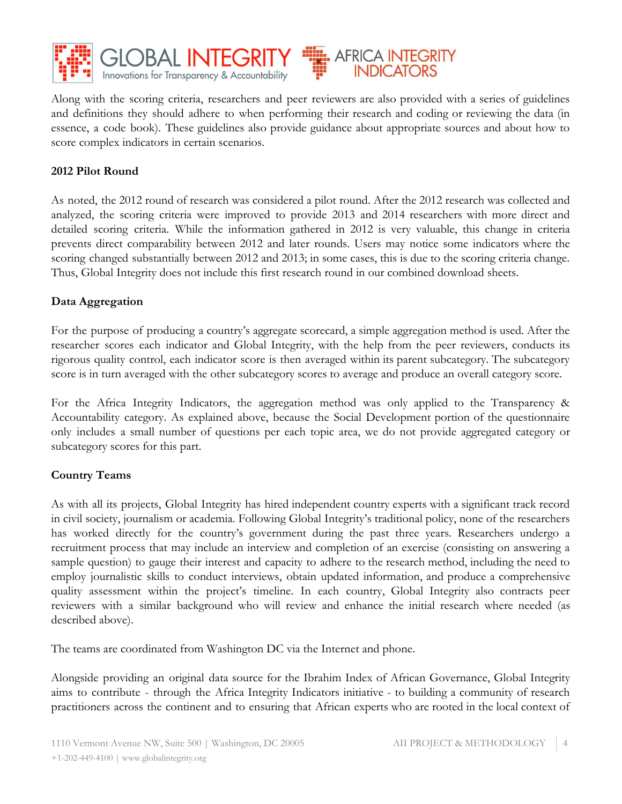

Along with the scoring criteria, researchers and peer reviewers are also provided with a series of guidelines and definitions they should adhere to when performing their research and coding or reviewing the data (in essence, a code book). These guidelines also provide guidance about appropriate sources and about how to score complex indicators in certain scenarios.

**AFRICA INTEGRITY** 

#### **2012 Pilot Round**

As noted, the 2012 round of research was considered a pilot round. After the 2012 research was collected and analyzed, the scoring criteria were improved to provide 2013 and 2014 researchers with more direct and detailed scoring criteria. While the information gathered in 2012 is very valuable, this change in criteria prevents direct comparability between 2012 and later rounds. Users may notice some indicators where the scoring changed substantially between 2012 and 2013; in some cases, this is due to the scoring criteria change. Thus, Global Integrity does not include this first research round in our combined download sheets.

#### **Data Aggregation**

For the purpose of producing a country's aggregate scorecard, a simple aggregation method is used. After the researcher scores each indicator and Global Integrity, with the help from the peer reviewers, conducts its rigorous quality control, each indicator score is then averaged within its parent subcategory. The subcategory score is in turn averaged with the other subcategory scores to average and produce an overall category score.

For the Africa Integrity Indicators, the aggregation method was only applied to the Transparency & Accountability category. As explained above, because the Social Development portion of the questionnaire only includes a small number of questions per each topic area, we do not provide aggregated category or subcategory scores for this part.

#### **Country Teams**

As with all its projects, Global Integrity has hired independent country experts with a significant track record in civil society, journalism or academia. Following Global Integrity's traditional policy, none of the researchers has worked directly for the country's government during the past three years. Researchers undergo a recruitment process that may include an interview and completion of an exercise (consisting on answering a sample question) to gauge their interest and capacity to adhere to the research method, including the need to employ journalistic skills to conduct interviews, obtain updated information, and produce a comprehensive quality assessment within the project's timeline. In each country, Global Integrity also contracts peer reviewers with a similar background who will review and enhance the initial research where needed (as described above).

The teams are coordinated from Washington DC via the Internet and phone.

Alongside providing an original data source for the Ibrahim Index of African Governance, Global Integrity aims to contribute - through the Africa Integrity Indicators initiative - to building a community of research practitioners across the continent and to ensuring that African experts who are rooted in the local context of